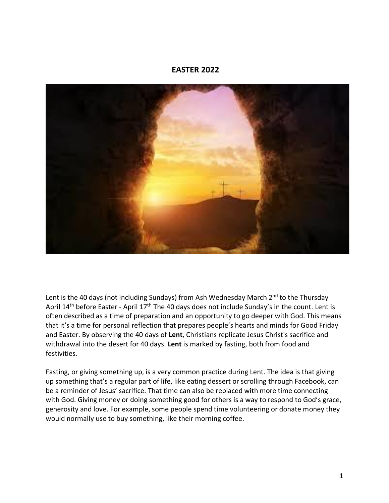#### **EASTER 2022**



Lent is the 40 days (not including Sundays) from Ash Wednesday March  $2^{nd}$  to the Thursday April  $14<sup>th</sup>$  before Easter - April  $17<sup>th</sup>$  The 40 days does not include Sunday's in the count. Lent is often described as a time of preparation and an opportunity to go deeper with God. This means that it's a time for personal reflection that prepares people's hearts and minds for Good Friday and Easter. By observing the 40 days of **Lent**, Christians replicate Jesus Christ's sacrifice and withdrawal into the desert for 40 days. **Lent** is marked by fasting, both from food and festivities.

Fasting, or giving something up, is a very common practice during Lent. The idea is that giving up something that's a regular part of life, like eating dessert or scrolling through Facebook, can be a reminder of Jesus' sacrifice. That time can also be replaced with more time connecting with God. Giving money or doing something good for others is a way to respond to God's grace, generosity and love. For example, some people spend time volunteering or donate money they would normally use to buy something, like their morning coffee.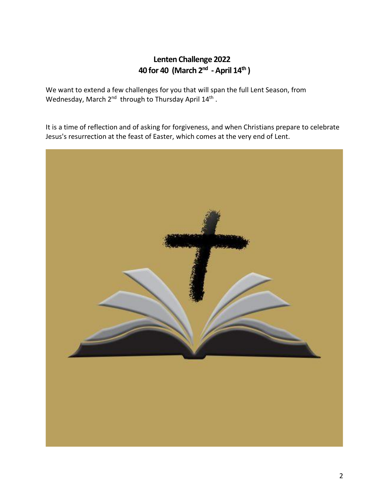#### **Lenten Challenge 2022 40 for 40 (March 2nd - April 14th )**

We want to extend a few challenges for you that will span the full Lent Season, from Wednesday, March 2<sup>nd</sup> through to Thursday April 14<sup>th</sup>.

It is a time of reflection and of asking for forgiveness, and when Christians prepare to celebrate Jesus's resurrection at the feast of Easter, which comes at the very end of Lent.

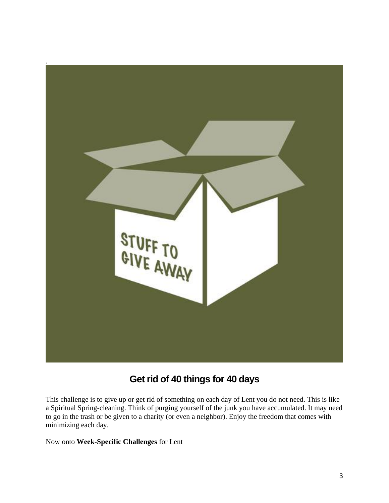

# **Get rid of 40 things for 40 days**

This challenge is to give up or get rid of something on each day of Lent you do not need. This is like a Spiritual Spring-cleaning. Think of purging yourself of the junk you have accumulated. It may need to go in the trash or be given to a charity (or even a neighbor). Enjoy the freedom that comes with minimizing each day.

Now onto **Week-Specific Challenges** for Lent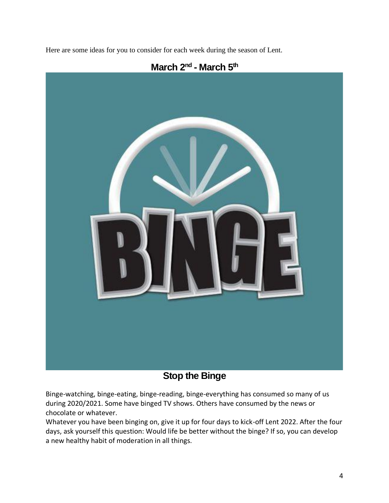Here are some ideas for you to consider for each week during the season of Lent.



# **March 2nd - March 5th**

# **Stop the Binge**

Binge-watching, binge-eating, binge-reading, binge-everything has consumed so many of us during 2020/2021. Some have binged TV shows. Others have consumed by the news or chocolate or whatever.

Whatever you have been binging on, give it up for four days to kick-off Lent 2022. After the four days, ask yourself this question: Would life be better without the binge? If so, you can develop a new healthy habit of moderation in all things.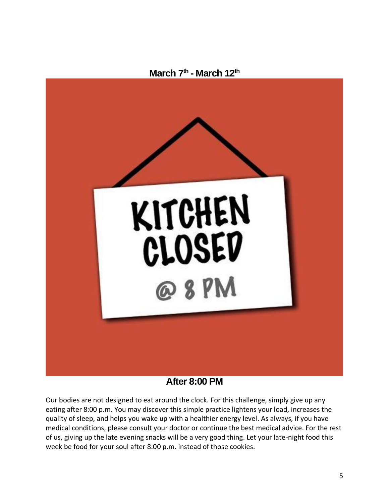



#### **After 8:00 PM**

Our bodies are not designed to eat around the clock. For this challenge, simply give up any eating after 8:00 p.m. You may discover this simple practice lightens your load, increases the quality of sleep, and helps you wake up with a healthier energy level. As always, if you have medical conditions, please consult your doctor or continue the best medical advice. For the rest of us, giving up the late evening snacks will be a very good thing. Let your late-night food this week be food for your soul after 8:00 p.m. instead of those cookies.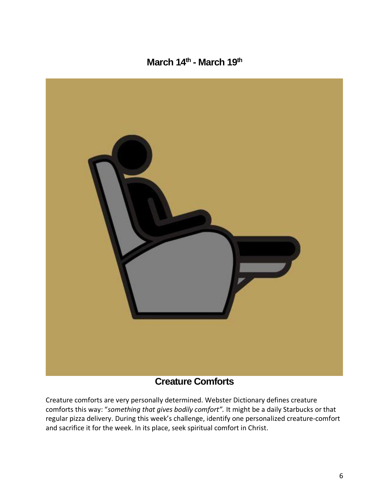### **March 14th - March 19th**



#### **Creature Comforts**

Creature comforts are very personally determined. Webster Dictionary defines creature comforts this way: "*something that gives bodily comfort".* It might be a daily Starbucks or that regular pizza delivery. During this week's challenge, identify one personalized creature-comfort and sacrifice it for the week. In its place, seek spiritual comfort in Christ.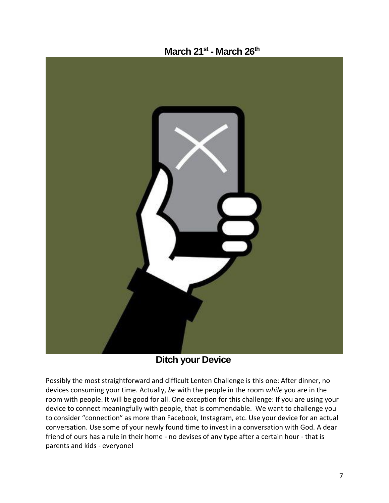

**Ditch your Device**

Possibly the most straightforward and difficult Lenten Challenge is this one: After dinner, no devices consuming your time. Actually, *be* with the people in the room *while* you are in the room with people. It will be good for all. One exception for this challenge: If you are using your device to connect meaningfully with people, that is commendable. We want to challenge you to consider "connection" as more than Facebook, Instagram, etc. Use your device for an actual conversation. Use some of your newly found time to invest in a conversation with God. A dear friend of ours has a rule in their home - no devises of any type after a certain hour - that is parents and kids - everyone!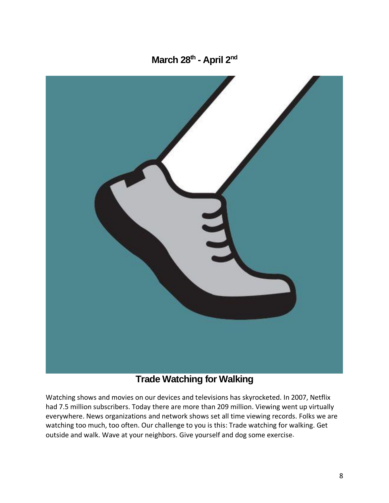**March 28th - April 2nd**



# **Trade Watching for Walking**

Watching shows and movies on our devices and televisions has skyrocketed. In 2007, Netflix had 7.5 million subscribers. Today there are more than 209 million. Viewing went up virtually everywhere. News organizations and network shows set all time viewing records. Folks we are watching too much, too often. Our challenge to you is this: Trade watching for walking. Get outside and walk. Wave at your neighbors. Give yourself and dog some exercise.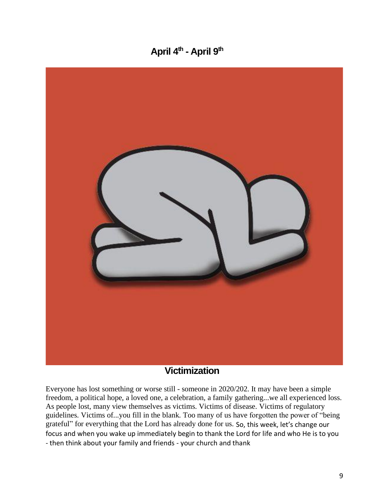# **April 4th - April 9th**



#### **Victimization**

Everyone has lost something or worse still - someone in 2020/202. It may have been a simple freedom, a political hope, a loved one, a celebration, a family gathering...we all experienced loss. As people lost, many view themselves as victims. Victims of disease. Victims of regulatory guidelines. Victims of...you fill in the blank. Too many of us have forgotten the power of "being grateful" for everything that the Lord has already done for us. So, this week, let's change our focus and when you wake up immediately begin to thank the Lord for life and who He is to you - then think about your family and friends - your church and thank